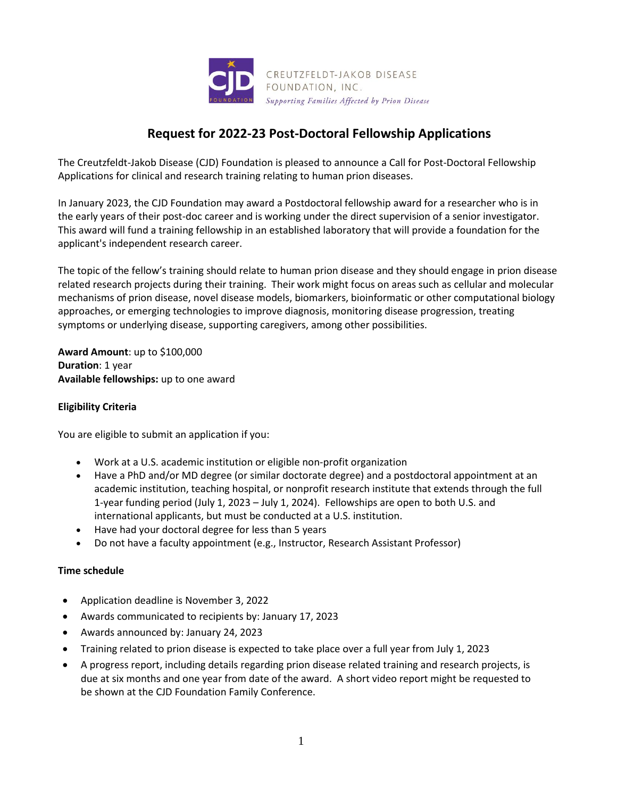

# **Request for 2022-23 Post-Doctoral Fellowship Applications**

The Creutzfeldt-Jakob Disease (CJD) Foundation is pleased to announce a Call for Post-Doctoral Fellowship Applications for clinical and research training relating to human prion diseases.

In January 2023, the CJD Foundation may award a Postdoctoral fellowship award for a researcher who is in the early years of their post-doc career and is working under the direct supervision of a senior investigator. This award will fund a training fellowship in an established laboratory that will provide a foundation for the applicant's independent research career.

The topic of the fellow's training should relate to human prion disease and they should engage in prion disease related research projects during their training. Their work might focus on areas such as cellular and molecular mechanisms of prion disease, novel disease models, biomarkers, bioinformatic or other computational biology approaches, or emerging technologies to improve diagnosis, monitoring disease progression, treating symptoms or underlying disease, supporting caregivers, among other possibilities.

**Award Amount**: up to \$100,000 **Duration**: 1 year **Available fellowships:** up to one award

# **Eligibility Criteria**

You are eligible to submit an application if you:

- Work at a U.S. academic institution or eligible non-profit organization
- Have a PhD and/or MD degree (or similar doctorate degree) and a postdoctoral appointment at an academic institution, teaching hospital, or nonprofit research institute that extends through the full 1-year funding period (July 1, 2023 – July 1, 2024). Fellowships are open to both U.S. and international applicants, but must be conducted at a U.S. institution.
- Have had your doctoral degree for less than 5 years
- Do not have a faculty appointment (e.g., Instructor, Research Assistant Professor)

## **Time schedule**

- Application deadline is November 3, 2022
- Awards communicated to recipients by: January 17, 2023
- Awards announced by: January 24, 2023
- Training related to prion disease is expected to take place over a full year from July 1, 2023
- A progress report, including details regarding prion disease related training and research projects, is due at six months and one year from date of the award. A short video report might be requested to be shown at the CJD Foundation Family Conference.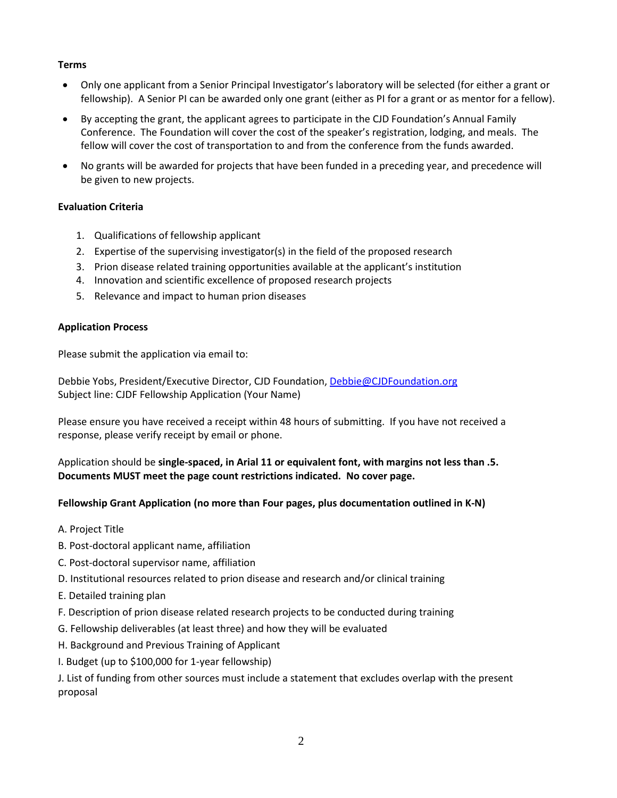# **Terms**

- Only one applicant from a Senior Principal Investigator's laboratory will be selected (for either a grant or fellowship). A Senior PI can be awarded only one grant (either as PI for a grant or as mentor for a fellow).
- By accepting the grant, the applicant agrees to participate in the CJD Foundation's Annual Family Conference. The Foundation will cover the cost of the speaker's registration, lodging, and meals. The fellow will cover the cost of transportation to and from the conference from the funds awarded.
- No grants will be awarded for projects that have been funded in a preceding year, and precedence will be given to new projects.

# **Evaluation Criteria**

- 1. Qualifications of fellowship applicant
- 2. Expertise of the supervising investigator(s) in the field of the proposed research
- 3. Prion disease related training opportunities available at the applicant's institution
- 4. Innovation and scientific excellence of proposed research projects
- 5. Relevance and impact to human prion diseases

## **Application Process**

Please submit the application via email to:

Debbie Yobs, President/Executive Director, CJD Foundation, [Debbie@CJDFoundation.org](mailto:Debbie@CJDFoundation.org) Subject line: CJDF Fellowship Application (Your Name)

Please ensure you have received a receipt within 48 hours of submitting. If you have not received a response, please verify receipt by email or phone.

Application should be **single-spaced, in Arial 11 or equivalent font, with margins not less than .5. Documents MUST meet the page count restrictions indicated. No cover page.**

## **Fellowship Grant Application (no more than Four pages, plus documentation outlined in K-N)**

- A. Project Title
- B. Post-doctoral applicant name, affiliation
- C. Post-doctoral supervisor name, affiliation
- D. Institutional resources related to prion disease and research and/or clinical training
- E. Detailed training plan
- F. Description of prion disease related research projects to be conducted during training
- G. Fellowship deliverables (at least three) and how they will be evaluated
- H. Background and Previous Training of Applicant
- I. Budget (up to \$100,000 for 1-year fellowship)

J. List of funding from other sources must include a statement that excludes overlap with the present proposal